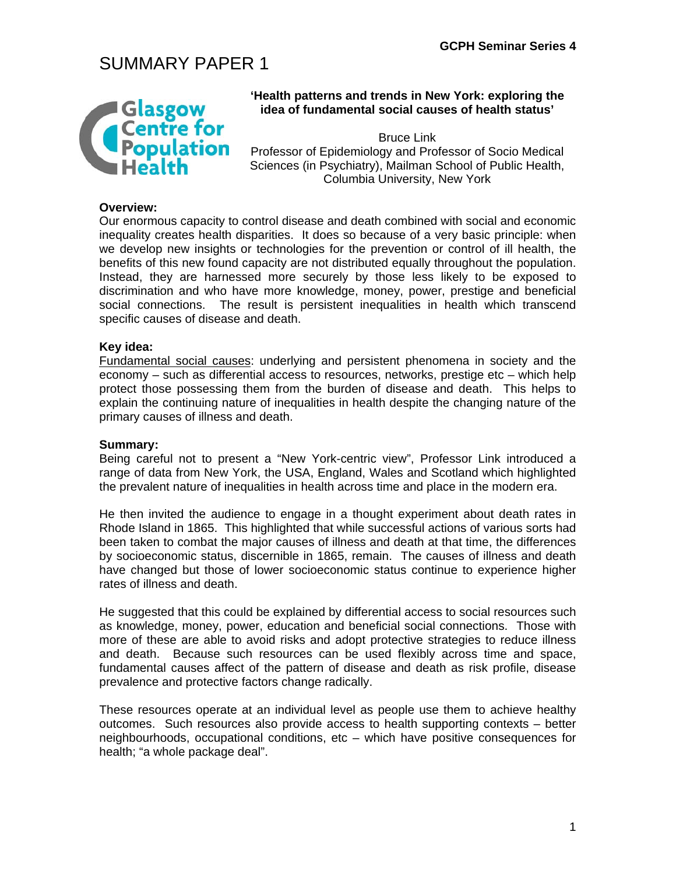# SUMMARY PAPER 1



### **'Health patterns and trends in New York: exploring the idea of fundamental social causes of health status'**

Bruce Link Professor of Epidemiology and Professor of Socio Medical Sciences (in Psychiatry), Mailman School of Public Health, Columbia University, New York

#### **Overview:**

Our enormous capacity to control disease and death combined with social and economic inequality creates health disparities. It does so because of a very basic principle: when we develop new insights or technologies for the prevention or control of ill health, the benefits of this new found capacity are not distributed equally throughout the population. Instead, they are harnessed more securely by those less likely to be exposed to discrimination and who have more knowledge, money, power, prestige and beneficial social connections. The result is persistent inequalities in health which transcend specific causes of disease and death.

#### **Key idea:**

Fundamental social causes: underlying and persistent phenomena in society and the economy – such as differential access to resources, networks, prestige etc – which help protect those possessing them from the burden of disease and death. This helps to explain the continuing nature of inequalities in health despite the changing nature of the primary causes of illness and death.

#### **Summary:**

Being careful not to present a "New York-centric view", Professor Link introduced a range of data from New York, the USA, England, Wales and Scotland which highlighted the prevalent nature of inequalities in health across time and place in the modern era.

He then invited the audience to engage in a thought experiment about death rates in Rhode Island in 1865. This highlighted that while successful actions of various sorts had been taken to combat the major causes of illness and death at that time, the differences by socioeconomic status, discernible in 1865, remain. The causes of illness and death have changed but those of lower socioeconomic status continue to experience higher rates of illness and death.

He suggested that this could be explained by differential access to social resources such as knowledge, money, power, education and beneficial social connections. Those with more of these are able to avoid risks and adopt protective strategies to reduce illness and death. Because such resources can be used flexibly across time and space, fundamental causes affect of the pattern of disease and death as risk profile, disease prevalence and protective factors change radically.

These resources operate at an individual level as people use them to achieve healthy outcomes. Such resources also provide access to health supporting contexts – better neighbourhoods, occupational conditions, etc – which have positive consequences for health; "a whole package deal".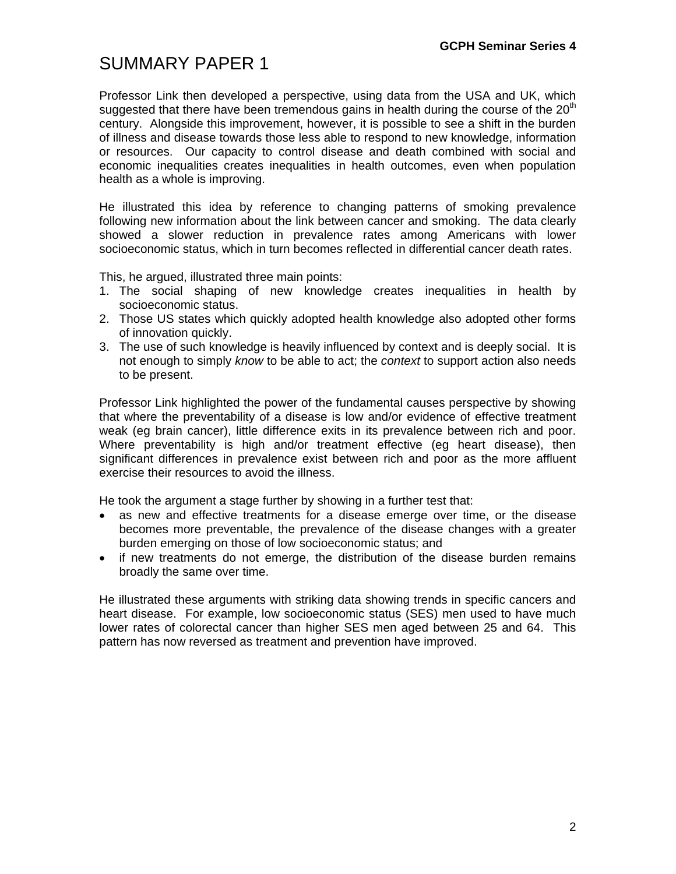### SUMMARY PAPER 1

Professor Link then developed a perspective, using data from the USA and UK, which suggested that there have been tremendous gains in health during the course of the  $20<sup>th</sup>$ century. Alongside this improvement, however, it is possible to see a shift in the burden of illness and disease towards those less able to respond to new knowledge, information or resources. Our capacity to control disease and death combined with social and economic inequalities creates inequalities in health outcomes, even when population health as a whole is improving.

He illustrated this idea by reference to changing patterns of smoking prevalence following new information about the link between cancer and smoking. The data clearly showed a slower reduction in prevalence rates among Americans with lower socioeconomic status, which in turn becomes reflected in differential cancer death rates.

This, he argued, illustrated three main points:

- 1. The social shaping of new knowledge creates inequalities in health by socioeconomic status.
- 2. Those US states which quickly adopted health knowledge also adopted other forms of innovation quickly.
- 3. The use of such knowledge is heavily influenced by context and is deeply social. It is not enough to simply *know* to be able to act; the *context* to support action also needs to be present.

Professor Link highlighted the power of the fundamental causes perspective by showing that where the preventability of a disease is low and/or evidence of effective treatment weak (eg brain cancer), little difference exits in its prevalence between rich and poor. Where preventability is high and/or treatment effective (eg heart disease), then significant differences in prevalence exist between rich and poor as the more affluent exercise their resources to avoid the illness.

He took the argument a stage further by showing in a further test that:

- as new and effective treatments for a disease emerge over time, or the disease becomes more preventable, the prevalence of the disease changes with a greater burden emerging on those of low socioeconomic status; and
- if new treatments do not emerge, the distribution of the disease burden remains broadly the same over time.

He illustrated these arguments with striking data showing trends in specific cancers and heart disease. For example, low socioeconomic status (SES) men used to have much lower rates of colorectal cancer than higher SES men aged between 25 and 64. This pattern has now reversed as treatment and prevention have improved.